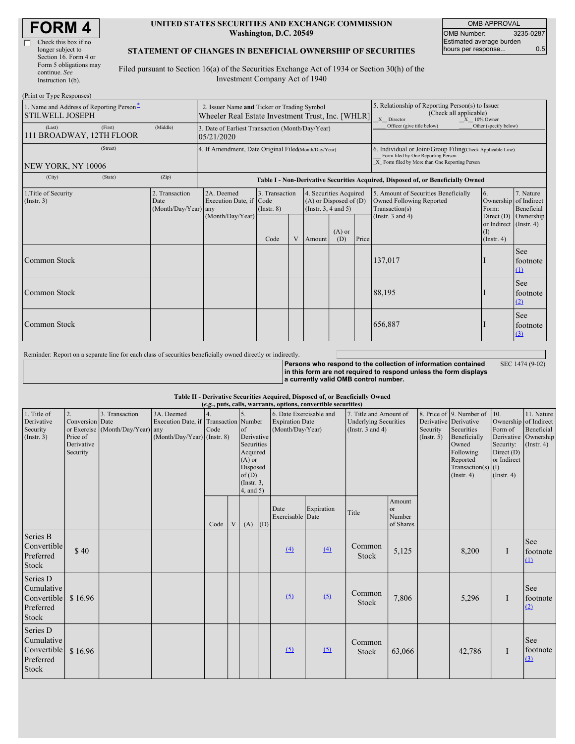| <b>FORM4</b> |  |
|--------------|--|
|--------------|--|

#### **UNITED STATES SECURITIES AND EXCHANGE COMMISSION Washington, D.C. 20549**

OMB APPROVAL OMB Number: 3235-0287 Estimated average burden hours per response... 6.5

### **STATEMENT OF CHANGES IN BENEFICIAL OWNERSHIP OF SECURITIES**

Filed pursuant to Section 16(a) of the Securities Exchange Act of 1934 or Section 30(h) of the Investment Company Act of 1940

| (Print or Type Responses)                                          |          |                                                                                                  |                                                                |                               |   |                                                                                  |                                                                                                         |                                                                                                                                                    |                                                                                    |                                                                   |                               |  |
|--------------------------------------------------------------------|----------|--------------------------------------------------------------------------------------------------|----------------------------------------------------------------|-------------------------------|---|----------------------------------------------------------------------------------|---------------------------------------------------------------------------------------------------------|----------------------------------------------------------------------------------------------------------------------------------------------------|------------------------------------------------------------------------------------|-------------------------------------------------------------------|-------------------------------|--|
| 1. Name and Address of Reporting Person-<br><b>STILWELL JOSEPH</b> |          | 2. Issuer Name and Ticker or Trading Symbol<br>Wheeler Real Estate Investment Trust, Inc. [WHLR] |                                                                |                               |   |                                                                                  | 5. Relationship of Reporting Person(s) to Issuer<br>(Check all applicable)<br>X Director<br>X 10% Owner |                                                                                                                                                    |                                                                                    |                                                                   |                               |  |
| (Last)<br>111 BROADWAY, 12TH FLOOR                                 | (First)  | (Middle)                                                                                         | 3. Date of Earliest Transaction (Month/Day/Year)<br>05/21/2020 |                               |   |                                                                                  |                                                                                                         | Officer (give title below)                                                                                                                         | Other (specify below)                                                              |                                                                   |                               |  |
|                                                                    | (Street) |                                                                                                  | 4. If Amendment, Date Original Filed(Month/Day/Year)           |                               |   |                                                                                  |                                                                                                         | 6. Individual or Joint/Group Filing(Check Applicable Line)<br>Form filed by One Reporting Person<br>X Form filed by More than One Reporting Person |                                                                                    |                                                                   |                               |  |
| NEW YORK, NY 10006<br>(City)                                       | (State)  | (Zip)                                                                                            |                                                                |                               |   |                                                                                  |                                                                                                         |                                                                                                                                                    |                                                                                    |                                                                   |                               |  |
|                                                                    |          |                                                                                                  |                                                                |                               |   |                                                                                  |                                                                                                         |                                                                                                                                                    | Table I - Non-Derivative Securities Acquired, Disposed of, or Beneficially Owned   |                                                                   |                               |  |
| 1. Title of Security<br>$($ Instr. 3 $)$<br>Date                   |          | 2. Transaction<br>(Month/Day/Year) any                                                           | 2A. Deemed<br>Execution Date, if Code                          | 3. Transaction<br>(Insert. 8) |   | 4. Securities Acquired<br>$(A)$ or Disposed of $(D)$<br>(Instr. $3, 4$ and $5$ ) |                                                                                                         |                                                                                                                                                    | 5. Amount of Securities Beneficially<br>Owned Following Reported<br>Transaction(s) | 6.<br>Ownership of Indirect<br>Form:                              | 7. Nature<br>Beneficial       |  |
|                                                                    |          |                                                                                                  | (Month/Day/Year)                                               | Code                          | V |                                                                                  | $(A)$ or<br>(D)                                                                                         | Price                                                                                                                                              | (Instr. $3$ and $4$ )                                                              | Direct $(D)$<br>or Indirect (Instr. 4)<br>(1)<br>$($ Instr. 4 $)$ | Ownership                     |  |
| Common Stock                                                       |          |                                                                                                  |                                                                |                               |   |                                                                                  |                                                                                                         |                                                                                                                                                    | 137,017                                                                            |                                                                   | See<br>footnote<br>$\Omega$   |  |
| Common Stock                                                       |          |                                                                                                  |                                                                |                               |   |                                                                                  |                                                                                                         |                                                                                                                                                    | 88,195                                                                             |                                                                   | <b>See</b><br>footnote<br>(2) |  |
| Common Stock                                                       |          |                                                                                                  |                                                                |                               |   |                                                                                  |                                                                                                         |                                                                                                                                                    | 656,887                                                                            |                                                                   | See<br>footnote<br>(3)        |  |
|                                                                    |          |                                                                                                  |                                                                |                               |   |                                                                                  |                                                                                                         |                                                                                                                                                    |                                                                                    |                                                                   |                               |  |

Reminder: Report on a separate line for each class of securities beneficially owned directly or indirectly.

**Persons who respond to the collection of information contained in this form are not required to respond unless the form displays a currently valid OMB control number.** SEC 1474 (9-02)

**Table II - Derivative Securities Acquired, Disposed of, or Beneficially Owned**

| (e.g., puts, calls, warrants, options, convertible securities)     |                                                             |                                                |                                                                                           |      |   |                                                                                                                   |     |                                                                       |            |                                                                                 |                                            |                                                                                                                                                                                     |                                                                                                    |                                                                      |                                            |
|--------------------------------------------------------------------|-------------------------------------------------------------|------------------------------------------------|-------------------------------------------------------------------------------------------|------|---|-------------------------------------------------------------------------------------------------------------------|-----|-----------------------------------------------------------------------|------------|---------------------------------------------------------------------------------|--------------------------------------------|-------------------------------------------------------------------------------------------------------------------------------------------------------------------------------------|----------------------------------------------------------------------------------------------------|----------------------------------------------------------------------|--------------------------------------------|
| 1. Title of<br>Derivative<br>Security<br>(Insert. 3)               | 2.<br>Conversion Date<br>Price of<br>Derivative<br>Security | 3. Transaction<br>or Exercise (Month/Day/Year) | 3A. Deemed<br>Execution Date, if Transaction Number<br>any<br>(Month/Day/Year) (Instr. 8) | Code |   | of<br>Derivative<br>Securities<br>Acquired<br>$(A)$ or<br>Disposed<br>of(D)<br>$($ Instr. $3,$<br>$4$ , and $5$ ) |     | 6. Date Exercisable and<br><b>Expiration Date</b><br>(Month/Day/Year) |            | 7. Title and Amount of<br><b>Underlying Securities</b><br>(Instr. $3$ and $4$ ) |                                            | 8. Price of 9. Number of<br>Derivative Derivative<br>Securities<br>Security<br>(Insert. 5)<br>Beneficially<br>Owned<br>Following<br>Reported<br>Transaction(s) $(I)$<br>(Insert. 4) | 10.<br>Ownership of Indirect<br>Form of<br>Security:<br>Direct $(D)$<br>or Indirect<br>(Insert. 4) | 11. Nature<br>Beneficial<br>Derivative Ownership<br>$($ Instr. 4 $)$ |                                            |
|                                                                    |                                                             |                                                |                                                                                           | Code | V | (A)                                                                                                               | (D) | Date<br>Exercisable Date                                              | Expiration | Title                                                                           | Amount<br><b>or</b><br>Number<br>of Shares |                                                                                                                                                                                     |                                                                                                    |                                                                      |                                            |
| Series B<br>Convertible<br>Preferred<br>Stock                      | \$40                                                        |                                                |                                                                                           |      |   |                                                                                                                   |     | (4)                                                                   | (4)        | Common<br>Stock                                                                 | 5,125                                      |                                                                                                                                                                                     | 8,200                                                                                              | I                                                                    | <b>See</b><br>footnote<br>$\Omega$         |
| Series D<br>Cumulative<br>Convertible<br>Preferred<br>Stock        | \$16.96                                                     |                                                |                                                                                           |      |   |                                                                                                                   |     | (5)                                                                   | (5)        | Common<br>Stock                                                                 | 7,806                                      |                                                                                                                                                                                     | 5,296                                                                                              | I                                                                    | <b>See</b><br>footnote<br>(2)              |
| Series D<br>Cumulative<br>Convertible<br>Preferred<br><b>Stock</b> | \$16.96                                                     |                                                |                                                                                           |      |   |                                                                                                                   |     | (5)                                                                   | (5)        | Common<br>Stock                                                                 | 63,066                                     |                                                                                                                                                                                     | 42,786                                                                                             | $\bf{I}$                                                             | <b>See</b><br>footnote<br>$\left(3\right)$ |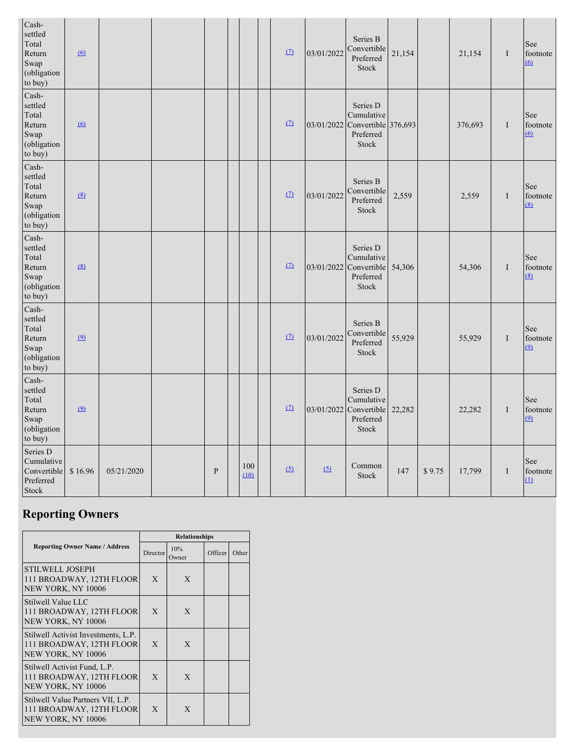| Cash-<br>settled<br>Total<br>Return<br>Swap<br>(obligation<br>to buy) | 6        |            |              |             | $\Omega$ | 03/01/2022 | Series B<br>Convertible<br>Preferred<br><b>Stock</b>                   | 21,154 |        | 21,154  | I        | See<br>footnote<br>$\overline{6}$ |
|-----------------------------------------------------------------------|----------|------------|--------------|-------------|----------|------------|------------------------------------------------------------------------|--------|--------|---------|----------|-----------------------------------|
| Cash-<br>settled<br>Total<br>Return<br>Swap<br>(obligation<br>to buy) | 6        |            |              |             | $\Omega$ | 03/01/2022 | Series D<br>Cumulative<br>Convertible 376,693<br>Preferred<br>Stock    |        |        | 376,693 | I        | See<br>footnote<br>$\overline{6}$ |
| Cash-<br>settled<br>Total<br>Return<br>Swap<br>(obligation<br>to buy) | (8)      |            |              |             | $\Omega$ | 03/01/2022 | Series B<br>Convertible<br>Preferred<br>Stock                          | 2,559  |        | 2,559   | $\bf{I}$ | See<br>footnote<br>(8)            |
| Cash-<br>settled<br>Total<br>Return<br>Swap<br>(obligation<br>to buy) | (8)      |            |              |             | $\Omega$ | 03/01/2022 | Series D<br>Cumulative<br>Convertible<br>Preferred<br>Stock            | 54,306 |        | 54,306  | I        | See<br>footnote<br>(8)            |
| Cash-<br>settled<br>Total<br>Return<br>Swap<br>(obligation<br>to buy) | $\Omega$ |            |              |             | $\Omega$ | 03/01/2022 | Series B<br>Convertible<br>Preferred<br>Stock                          | 55,929 |        | 55,929  | $\bf{I}$ | See<br>footnote<br>$\overline{9}$ |
| Cash-<br>settled<br>Total<br>Return<br>Swap<br>(obligation<br>to buy) | $\Omega$ |            |              |             | $\Omega$ |            | Series D<br>Cumulative<br>03/01/2022 Convertible<br>Preferred<br>Stock | 22,282 |        | 22,282  | I        | See<br>footnote<br>(9)            |
| Series D<br>Cumulative<br>Convertible<br>Preferred<br><b>Stock</b>    | \$16.96  | 05/21/2020 | $\mathbf{P}$ | 100<br>(10) | (5)      | (5)        | Common<br>Stock                                                        | 147    | \$9.75 | 17,799  | $\bf{I}$ | See<br>footnote<br>$\Omega$       |

# **Reporting Owners**

|                                                                                       | <b>Relationships</b> |              |         |       |  |  |  |  |  |  |
|---------------------------------------------------------------------------------------|----------------------|--------------|---------|-------|--|--|--|--|--|--|
| <b>Reporting Owner Name / Address</b>                                                 | Director             | 10%<br>Owner | Officer | Other |  |  |  |  |  |  |
| <b>STILWELL JOSEPH</b><br>111 BROADWAY, 12TH FLOOR<br>NEW YORK, NY 10006              | X                    | X            |         |       |  |  |  |  |  |  |
| Stilwell Value LLC<br>111 BROADWAY, 12TH FLOOR<br>NEW YORK, NY 10006                  | X                    | X            |         |       |  |  |  |  |  |  |
| Stilwell Activist Investments, L.P.<br>111 BROADWAY, 12TH FLOOR<br>NEW YORK, NY 10006 | $\mathbf{x}$         | X            |         |       |  |  |  |  |  |  |
| Stilwell Activist Fund, L.P.<br>111 BROADWAY, 12TH FLOOR<br>NEW YORK, NY 10006        | X                    | X            |         |       |  |  |  |  |  |  |
| Stilwell Value Partners VII, L.P.<br>111 BROADWAY, 12TH FLOOR<br>NEW YORK, NY 10006   | X                    | X            |         |       |  |  |  |  |  |  |